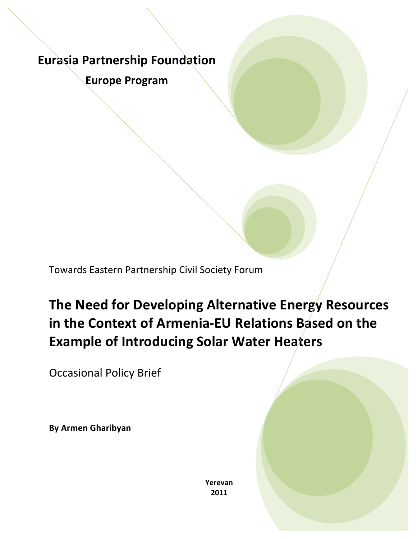# **Eurasia Partnership Foundation**

**Europe Program**

Towards Eastern Partnership Civil Society Forum

**The Need for Developing Alternative Energy Resources in the Context of Armenia-EU Relations Based on the Example of Introducing Solar Water Heaters** 

**Occasional Policy Brief** 

**By Armen Gharibyan**

**Yerevan 2011**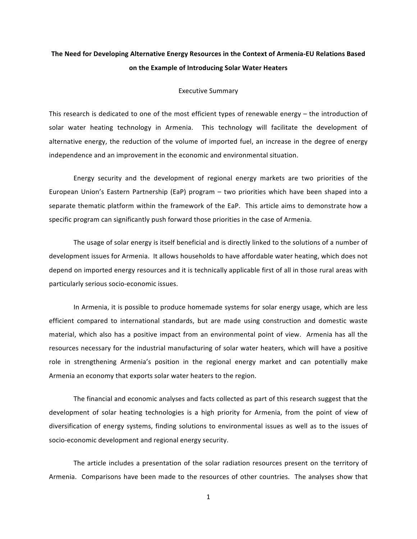# The Need for Developing Alternative Energy Resources in the Context of Armenia-EU Relations Based on the Example of Introducing Solar Water Heaters

#### Executive Summary

This research is dedicated to one of the most efficient types of renewable energy – the introduction of solar water heating technology in Armenia. This technology will facilitate the development of alternative energy, the reduction of the volume of imported fuel, an increase in the degree of energy independence and an improvement in the economic and environmental situation.

Energy security and the development of regional energy markets are two priorities of the European Union's Eastern Partnership (EaP) program – two priorities which have been shaped into a separate thematic platform within the framework of the EaP. This article aims to demonstrate how a specific program can significantly push forward those priorities in the case of Armenia.

The usage of solar energy is itself beneficial and is directly linked to the solutions of a number of development issues for Armenia. It allows households to have affordable water heating, which does not depend on imported energy resources and it is technically applicable first of all in those rural areas with particularly serious socio-economic issues.

In Armenia, it is possible to produce homemade systems for solar energy usage, which are less efficient compared to international standards, but are made using construction and domestic waste material, which also has a positive impact from an environmental point of view. Armenia has all the resources necessary for the industrial manufacturing of solar water heaters, which will have a positive role in strengthening Armenia's position in the regional energy market and can potentially make Armenia an economy that exports solar water heaters to the region.

The financial and economic analyses and facts collected as part of this research suggest that the development of solar heating technologies is a high priority for Armenia, from the point of view of diversification of energy systems, finding solutions to environmental issues as well as to the issues of socio-economic development and regional energy security.

The article includes a presentation of the solar radiation resources present on the territory of Armenia. Comparisons have been made to the resources of other countries. The analyses show that

1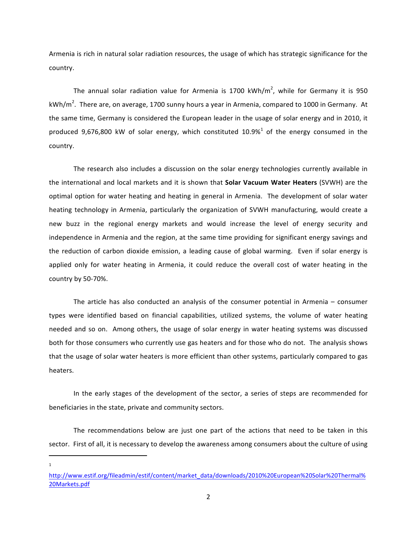Armenia is rich in natural solar radiation resources, the usage of which has strategic significance for the country.

The annual solar radiation value for Armenia is 1700 kWh/m<sup>2</sup>, while for Germany it is 950 kWh/m<sup>2</sup>. There are, on average, 1700 sunny hours a year in Armenia, compared to 1000 in Germany. At the same time, Germany is considered the European leader in the usage of solar energy and in 2010, it produced 9,676,800 kW of solar energy, which constituted  $10.9\%$ <sup>1</sup> of the energy consumed in the country.

The research also includes a discussion on the solar energy technologies currently available in the international and local markets and it is shown that **Solar Vacuum Water Heaters** (SVWH) are the optimal option for water heating and heating in general in Armenia. The development of solar water heating technology in Armenia, particularly the organization of SVWH manufacturing, would create a new buzz in the regional energy markets and would increase the level of energy security and independence in Armenia and the region, at the same time providing for significant energy savings and the reduction of carbon dioxide emission, a leading cause of global warming. Even if solar energy is applied only for water heating in Armenia, it could reduce the overall cost of water heating in the country by 50-70%.

The article has also conducted an analysis of the consumer potential in Armenia  $-$  consumer types were identified based on financial capabilities, utilized systems, the volume of water heating needed and so on. Among others, the usage of solar energy in water heating systems was discussed both for those consumers who currently use gas heaters and for those who do not. The analysis shows that the usage of solar water heaters is more efficient than other systems, particularly compared to gas heaters.

In the early stages of the development of the sector, a series of steps are recommended for beneficiaries in the state, private and community sectors.

The recommendations below are just one part of the actions that need to be taken in this sector. First of all, it is necessary to develop the awareness among consumers about the culture of using

1

<u> 1989 - Johann Stein, markin film yn y breninn y breninn y breninn y breninn y breninn y breninn y breninn y b</u>

http://www.estif.org/fileadmin/estif/content/market\_data/downloads/2010%20European%20Solar%20Thermal% 20Markets.pdf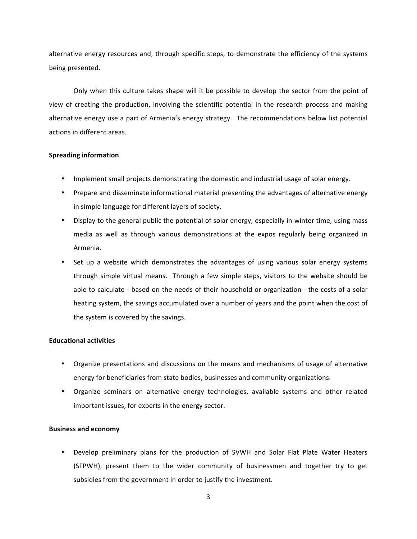alternative energy resources and, through specific steps, to demonstrate the efficiency of the systems being presented.

Only when this culture takes shape will it be possible to develop the sector from the point of view of creating the production, involving the scientific potential in the research process and making alternative energy use a part of Armenia's energy strategy. The recommendations below list potential actions in different areas.

#### **Spreading information**

- Implement small projects demonstrating the domestic and industrial usage of solar energy.
- Prepare and disseminate informational material presenting the advantages of alternative energy in simple language for different layers of society.
- Display to the general public the potential of solar energy, especially in winter time, using mass media as well as through various demonstrations at the expos regularly being organized in Armenia.
- Set up a website which demonstrates the advantages of using various solar energy systems through simple virtual means. Through a few simple steps, visitors to the website should be able to calculate - based on the needs of their household or organization - the costs of a solar heating system, the savings accumulated over a number of years and the point when the cost of the system is covered by the savings.

### **Educational activities**

- Organize presentations and discussions on the means and mechanisms of usage of alternative energy for beneficiaries from state bodies, businesses and community organizations.
- Organize seminars on alternative energy technologies, available systems and other related important issues, for experts in the energy sector.

#### **Business and economy**

Develop preliminary plans for the production of SVWH and Solar Flat Plate Water Heaters (SFPWH), present them to the wider community of businessmen and together try to get subsidies from the government in order to justify the investment.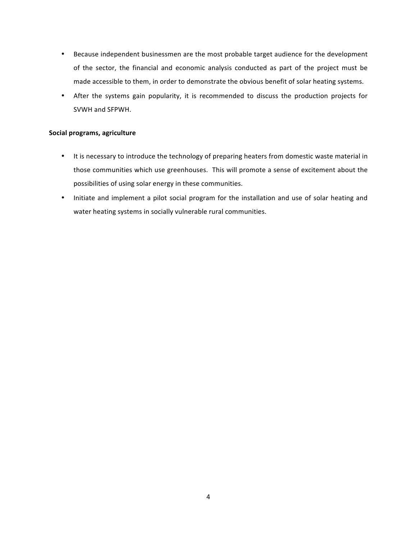- Because independent businessmen are the most probable target audience for the development of the sector, the financial and economic analysis conducted as part of the project must be made accessible to them, in order to demonstrate the obvious benefit of solar heating systems.
- After the systems gain popularity, it is recommended to discuss the production projects for SVWH and SFPWH.

## **Social programs, agriculture**

- It is necessary to introduce the technology of preparing heaters from domestic waste material in those communities which use greenhouses. This will promote a sense of excitement about the possibilities of using solar energy in these communities.
- Initiate and implement a pilot social program for the installation and use of solar heating and water heating systems in socially vulnerable rural communities.